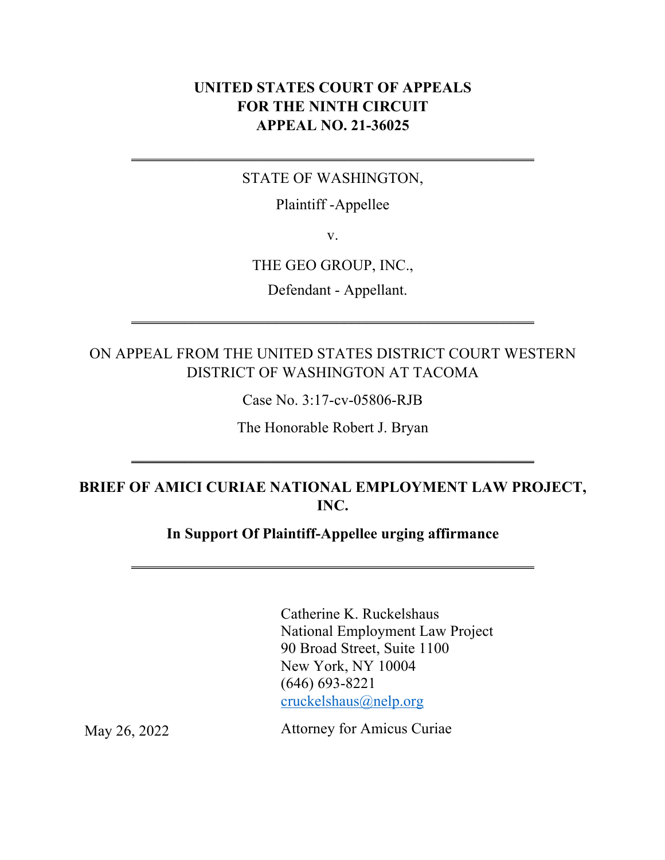### **UNITED STATES COURT OF APPEALS FOR THE NINTH CIRCUIT APPEAL NO. 21-36025**

#### STATE OF WASHINGTON,

 $\frac{1}{2}$  ,  $\frac{1}{2}$  ,  $\frac{1}{2}$  ,  $\frac{1}{2}$  ,  $\frac{1}{2}$  ,  $\frac{1}{2}$  ,  $\frac{1}{2}$  ,  $\frac{1}{2}$  ,  $\frac{1}{2}$  ,  $\frac{1}{2}$  ,  $\frac{1}{2}$  ,  $\frac{1}{2}$  ,  $\frac{1}{2}$  ,  $\frac{1}{2}$  ,  $\frac{1}{2}$  ,  $\frac{1}{2}$  ,  $\frac{1}{2}$  ,  $\frac{1}{2}$  ,  $\frac{1$ 

Plaintiff -Appellee

v.

#### THE GEO GROUP, INC.,

Defendant - Appellant.

## ON APPEAL FROM THE UNITED STATES DISTRICT COURT WESTERN DISTRICT OF WASHINGTON AT TACOMA

 $\frac{1}{2}$  ,  $\frac{1}{2}$  ,  $\frac{1}{2}$  ,  $\frac{1}{2}$  ,  $\frac{1}{2}$  ,  $\frac{1}{2}$  ,  $\frac{1}{2}$  ,  $\frac{1}{2}$  ,  $\frac{1}{2}$  ,  $\frac{1}{2}$  ,  $\frac{1}{2}$  ,  $\frac{1}{2}$  ,  $\frac{1}{2}$  ,  $\frac{1}{2}$  ,  $\frac{1}{2}$  ,  $\frac{1}{2}$  ,  $\frac{1}{2}$  ,  $\frac{1}{2}$  ,  $\frac{1$ 

Case No. 3:17-cv-05806-RJB

The Honorable Robert J. Bryan

 $\frac{1}{2}$  ,  $\frac{1}{2}$  ,  $\frac{1}{2}$  ,  $\frac{1}{2}$  ,  $\frac{1}{2}$  ,  $\frac{1}{2}$  ,  $\frac{1}{2}$  ,  $\frac{1}{2}$  ,  $\frac{1}{2}$  ,  $\frac{1}{2}$  ,  $\frac{1}{2}$  ,  $\frac{1}{2}$  ,  $\frac{1}{2}$  ,  $\frac{1}{2}$  ,  $\frac{1}{2}$  ,  $\frac{1}{2}$  ,  $\frac{1}{2}$  ,  $\frac{1}{2}$  ,  $\frac{1$ 

## **BRIEF OF AMICI CURIAE NATIONAL EMPLOYMENT LAW PROJECT, INC.**

### **In Support Of Plaintiff-Appellee urging affirmance**

\_\_\_\_\_\_\_\_\_\_\_\_\_\_\_\_\_\_\_\_\_\_\_\_\_\_\_\_\_\_\_\_\_\_\_\_\_\_\_\_\_\_\_\_\_\_\_\_\_\_\_\_\_

Catherine K. Ruckelshaus National Employment Law Project 90 Broad Street, Suite 1100 New York, NY 10004 (646) 693-8221 cruckelshaus@nelp.org

Attorney for Amicus Curiae

May 26, 2022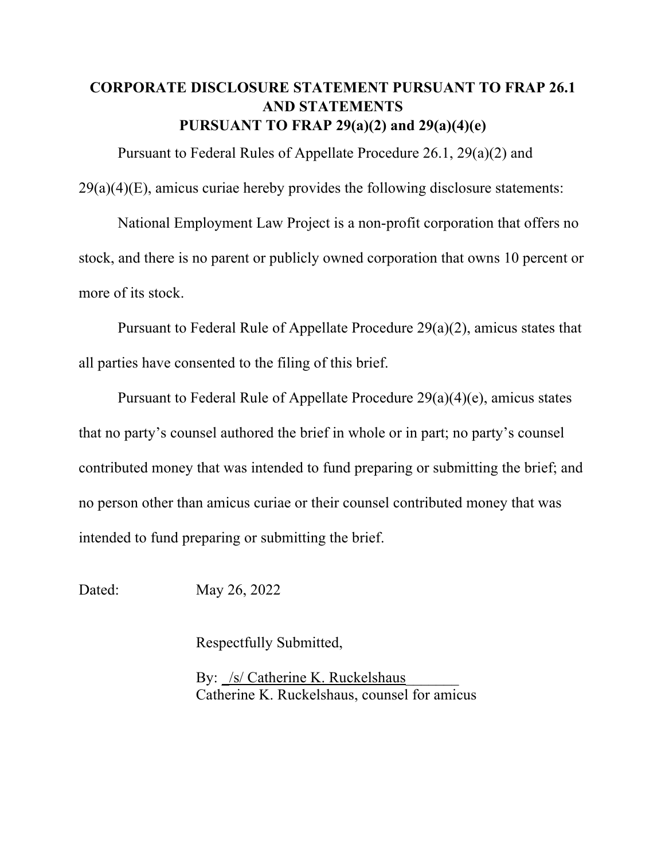## **CORPORATE DISCLOSURE STATEMENT PURSUANT TO FRAP 26.1 AND STATEMENTS PURSUANT TO FRAP 29(a)(2) and 29(a)(4)(e)**

Pursuant to Federal Rules of Appellate Procedure 26.1, 29(a)(2) and  $29(a)(4)(E)$ , amicus curiae hereby provides the following disclosure statements:

National Employment Law Project is a non-profit corporation that offers no stock, and there is no parent or publicly owned corporation that owns 10 percent or more of its stock.

Pursuant to Federal Rule of Appellate Procedure 29(a)(2), amicus states that all parties have consented to the filing of this brief.

Pursuant to Federal Rule of Appellate Procedure 29(a)(4)(e), amicus states that no party's counsel authored the brief in whole or in part; no party's counsel contributed money that was intended to fund preparing or submitting the brief; and no person other than amicus curiae or their counsel contributed money that was intended to fund preparing or submitting the brief.

Dated: May 26, 2022

Respectfully Submitted,

By: /s/ Catherine K. Ruckelshaus Catherine K. Ruckelshaus, counsel for amicus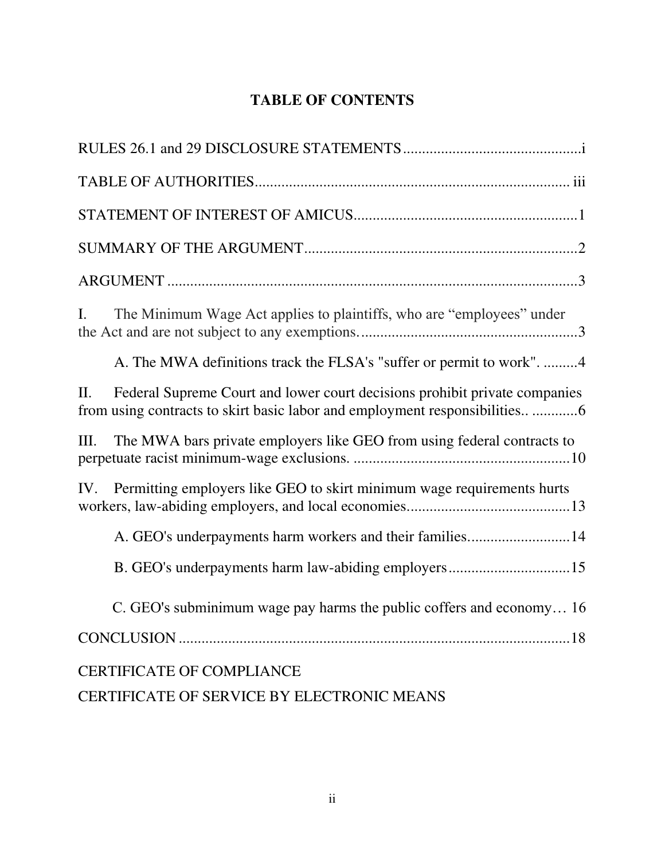# **TABLE OF CONTENTS**

| The Minimum Wage Act applies to plaintiffs, who are "employees" under<br>L.           |
|---------------------------------------------------------------------------------------|
| A. The MWA definitions track the FLSA's "suffer or permit to work". 4                 |
| Federal Supreme Court and lower court decisions prohibit private companies<br>$\Pi$ . |
| The MWA bars private employers like GEO from using federal contracts to<br>Ш.         |
| Permitting employers like GEO to skirt minimum wage requirements hurts<br>IV.         |
| A. GEO's underpayments harm workers and their families14                              |
|                                                                                       |
| C. GEO's subminimum wage pay harms the public coffers and economy 16                  |
|                                                                                       |
| <b>CERTIFICATE OF COMPLIANCE</b>                                                      |
| CERTIFICATE OF SERVICE BY ELECTRONIC MEANS                                            |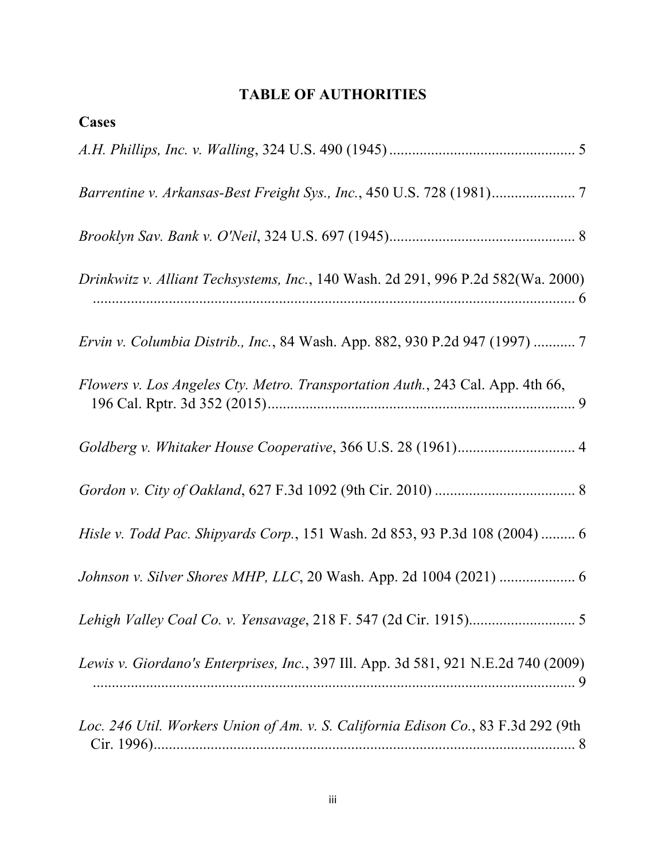# **TABLE OF AUTHORITIES**

| Cases                                                                               |
|-------------------------------------------------------------------------------------|
|                                                                                     |
|                                                                                     |
|                                                                                     |
| Drinkwitz v. Alliant Techsystems, Inc., 140 Wash. 2d 291, 996 P.2d 582(Wa. 2000)    |
| <i>Ervin v. Columbia Distrib., Inc.</i> , 84 Wash. App. 882, 930 P.2d 947 (1997)  7 |
| Flowers v. Los Angeles Cty. Metro. Transportation Auth., 243 Cal. App. 4th 66,      |
| Goldberg v. Whitaker House Cooperative, 366 U.S. 28 (1961) 4                        |
|                                                                                     |
| Hisle v. Todd Pac. Shipyards Corp., 151 Wash. 2d 853, 93 P.3d 108 (2004)  6         |
|                                                                                     |
|                                                                                     |
| Lewis v. Giordano's Enterprises, Inc., 397 Ill. App. 3d 581, 921 N.E.2d 740 (2009)  |
| Loc. 246 Util. Workers Union of Am. v. S. California Edison Co., 83 F.3d 292 (9th   |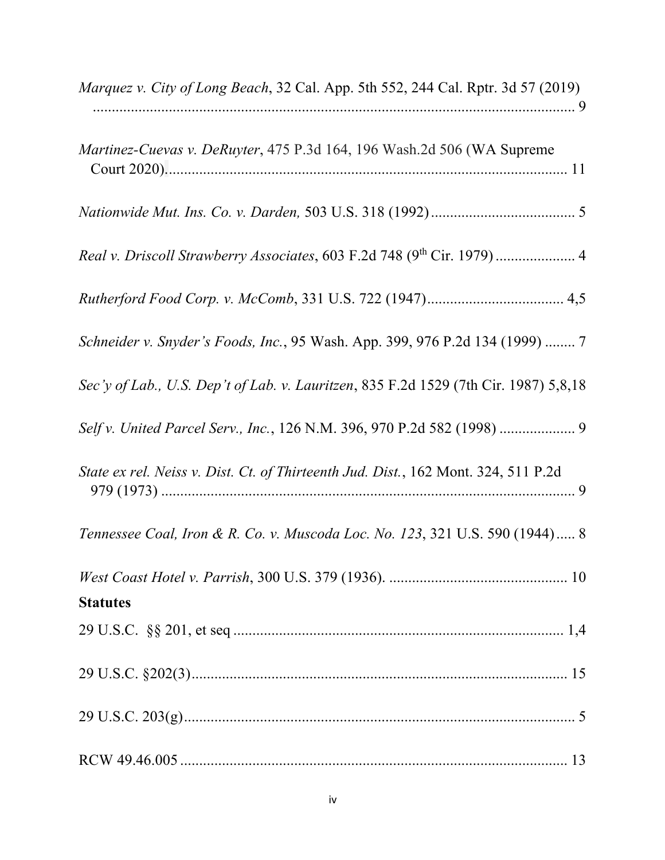| <i>Marquez v. City of Long Beach, 32 Cal. App. 5th 552, 244 Cal. Rptr. 3d 57 (2019)</i> |
|-----------------------------------------------------------------------------------------|
| <i>Martinez-Cuevas v. DeRuyter</i> , 475 P.3d 164, 196 Wash.2d 506 (WA Supreme          |
|                                                                                         |
| Real v. Driscoll Strawberry Associates, 603 F.2d 748 (9th Cir. 1979)  4                 |
|                                                                                         |
| Schneider v. Snyder's Foods, Inc., 95 Wash. App. 399, 976 P.2d 134 (1999)  7            |
| Sec'y of Lab., U.S. Dep't of Lab. v. Lauritzen, 835 F.2d 1529 (7th Cir. 1987) 5,8,18    |
| Self v. United Parcel Serv., Inc., 126 N.M. 396, 970 P.2d 582 (1998)  9                 |
| State ex rel. Neiss v. Dist. Ct. of Thirteenth Jud. Dist., 162 Mont. 324, 511 P.2d      |
| Tennessee Coal, Iron & R. Co. v. Muscoda Loc. No. 123, 321 U.S. 590 (1944) 8            |
| <b>Statutes</b>                                                                         |
|                                                                                         |
|                                                                                         |
|                                                                                         |
|                                                                                         |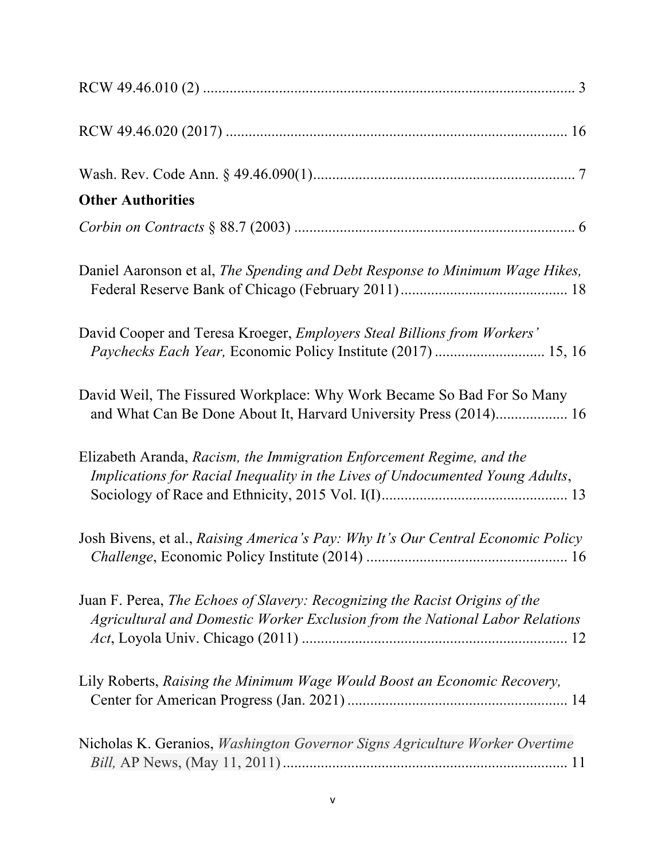| <b>Other Authorities</b>                                                                                                                                    |
|-------------------------------------------------------------------------------------------------------------------------------------------------------------|
|                                                                                                                                                             |
| Daniel Aaronson et al, The Spending and Debt Response to Minimum Wage Hikes,                                                                                |
| David Cooper and Teresa Kroeger, Employers Steal Billions from Workers'<br>Paychecks Each Year, Economic Policy Institute (2017)  15, 16                    |
| David Weil, The Fissured Workplace: Why Work Became So Bad For So Many<br>and What Can Be Done About It, Harvard University Press (2014) 16                 |
| Elizabeth Aranda, Racism, the Immigration Enforcement Regime, and the<br>Implications for Racial Inequality in the Lives of Undocumented Young Adults,      |
| Josh Bivens, et al., Raising America's Pay: Why It's Our Central Economic Policy                                                                            |
| Juan F. Perea, The Echoes of Slavery: Recognizing the Racist Origins of the<br>Agricultural and Domestic Worker Exclusion from the National Labor Relations |
| Lily Roberts, Raising the Minimum Wage Would Boost an Economic Recovery,                                                                                    |
| Nicholas K. Geranios, Washington Governor Signs Agriculture Worker Overtime                                                                                 |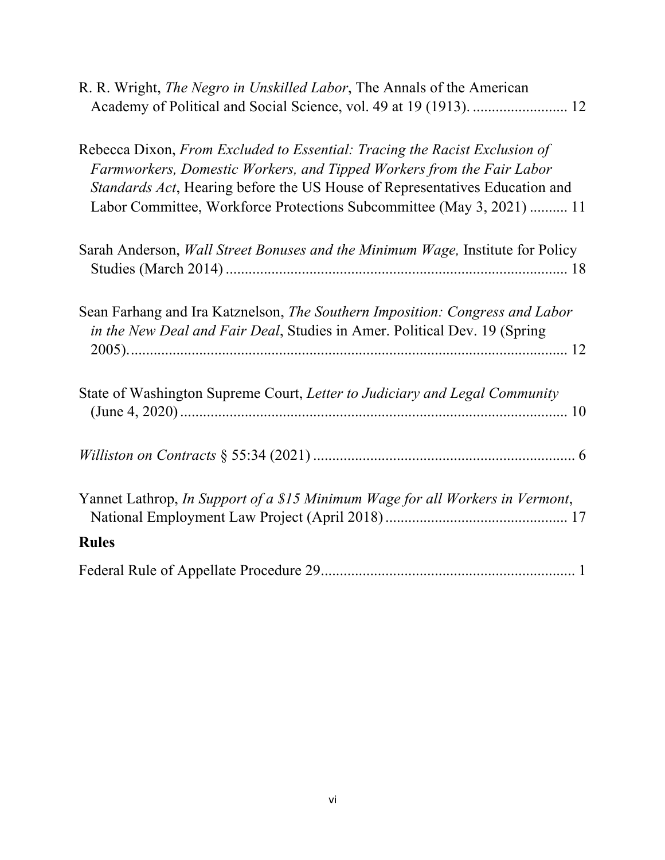| R. R. Wright, <i>The Negro in Unskilled Labor</i> , The Annals of the American<br>Academy of Political and Social Science, vol. 49 at 19 (1913).  12                                                                                                                                                        |
|-------------------------------------------------------------------------------------------------------------------------------------------------------------------------------------------------------------------------------------------------------------------------------------------------------------|
| Rebecca Dixon, From Excluded to Essential: Tracing the Racist Exclusion of<br>Farmworkers, Domestic Workers, and Tipped Workers from the Fair Labor<br>Standards Act, Hearing before the US House of Representatives Education and<br>Labor Committee, Workforce Protections Subcommittee (May 3, 2021)  11 |
| Sarah Anderson, Wall Street Bonuses and the Minimum Wage, Institute for Policy                                                                                                                                                                                                                              |
| Sean Farhang and Ira Katznelson, The Southern Imposition: Congress and Labor<br>in the New Deal and Fair Deal, Studies in Amer. Political Dev. 19 (Spring                                                                                                                                                   |
| State of Washington Supreme Court, Letter to Judiciary and Legal Community                                                                                                                                                                                                                                  |
|                                                                                                                                                                                                                                                                                                             |
| Yannet Lathrop, In Support of a \$15 Minimum Wage for all Workers in Vermont,                                                                                                                                                                                                                               |
| <b>Rules</b>                                                                                                                                                                                                                                                                                                |
|                                                                                                                                                                                                                                                                                                             |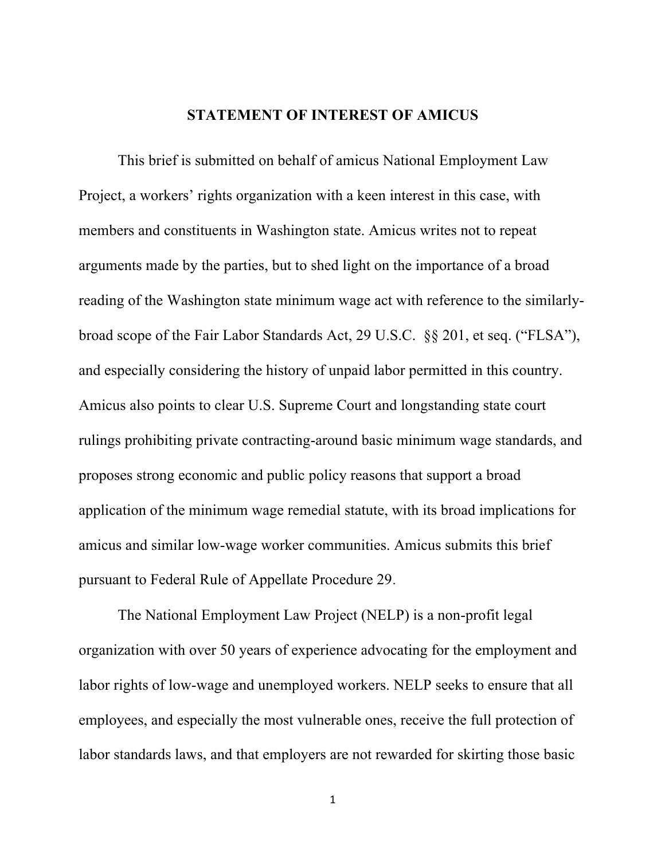#### **STATEMENT OF INTEREST OF AMICUS**

This brief is submitted on behalf of amicus National Employment Law Project, a workers' rights organization with a keen interest in this case, with members and constituents in Washington state. Amicus writes not to repeat arguments made by the parties, but to shed light on the importance of a broad reading of the Washington state minimum wage act with reference to the similarlybroad scope of the Fair Labor Standards Act, 29 U.S.C. §§ 201, et seq. ("FLSA"), and especially considering the history of unpaid labor permitted in this country. Amicus also points to clear U.S. Supreme Court and longstanding state court rulings prohibiting private contracting-around basic minimum wage standards, and proposes strong economic and public policy reasons that support a broad application of the minimum wage remedial statute, with its broad implications for amicus and similar low-wage worker communities. Amicus submits this brief pursuant to Federal Rule of Appellate Procedure 29.

The National Employment Law Project (NELP) is a non-profit legal organization with over 50 years of experience advocating for the employment and labor rights of low-wage and unemployed workers. NELP seeks to ensure that all employees, and especially the most vulnerable ones, receive the full protection of labor standards laws, and that employers are not rewarded for skirting those basic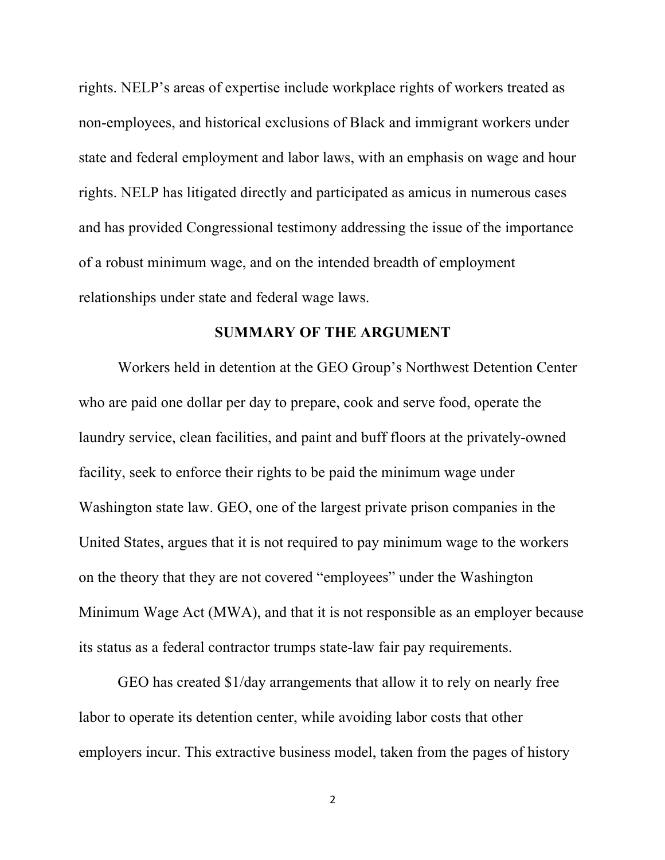rights. NELP's areas of expertise include workplace rights of workers treated as non-employees, and historical exclusions of Black and immigrant workers under state and federal employment and labor laws, with an emphasis on wage and hour rights. NELP has litigated directly and participated as amicus in numerous cases and has provided Congressional testimony addressing the issue of the importance of a robust minimum wage, and on the intended breadth of employment relationships under state and federal wage laws.

#### **SUMMARY OF THE ARGUMENT**

Workers held in detention at the GEO Group's Northwest Detention Center who are paid one dollar per day to prepare, cook and serve food, operate the laundry service, clean facilities, and paint and buff floors at the privately-owned facility, seek to enforce their rights to be paid the minimum wage under Washington state law. GEO, one of the largest private prison companies in the United States, argues that it is not required to pay minimum wage to the workers on the theory that they are not covered "employees" under the Washington Minimum Wage Act (MWA), and that it is not responsible as an employer because its status as a federal contractor trumps state-law fair pay requirements.

GEO has created \$1/day arrangements that allow it to rely on nearly free labor to operate its detention center, while avoiding labor costs that other employers incur. This extractive business model, taken from the pages of history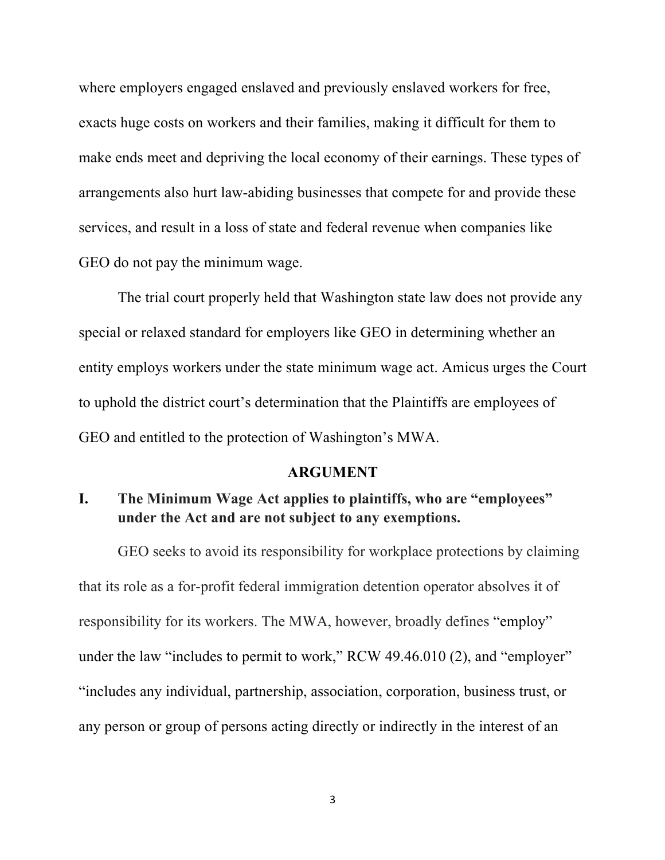where employers engaged enslaved and previously enslaved workers for free, exacts huge costs on workers and their families, making it difficult for them to make ends meet and depriving the local economy of their earnings. These types of arrangements also hurt law-abiding businesses that compete for and provide these services, and result in a loss of state and federal revenue when companies like GEO do not pay the minimum wage.

The trial court properly held that Washington state law does not provide any special or relaxed standard for employers like GEO in determining whether an entity employs workers under the state minimum wage act. Amicus urges the Court to uphold the district court's determination that the Plaintiffs are employees of GEO and entitled to the protection of Washington's MWA.

#### **ARGUMENT**

## **I. The Minimum Wage Act applies to plaintiffs, who are "employees" under the Act and are not subject to any exemptions.**

GEO seeks to avoid its responsibility for workplace protections by claiming that its role as a for-profit federal immigration detention operator absolves it of responsibility for its workers. The MWA, however, broadly defines "employ" under the law "includes to permit to work," RCW 49.46.010 (2), and "employer" "includes any individual, partnership, association, corporation, business trust, or any person or group of persons acting directly or indirectly in the interest of an

3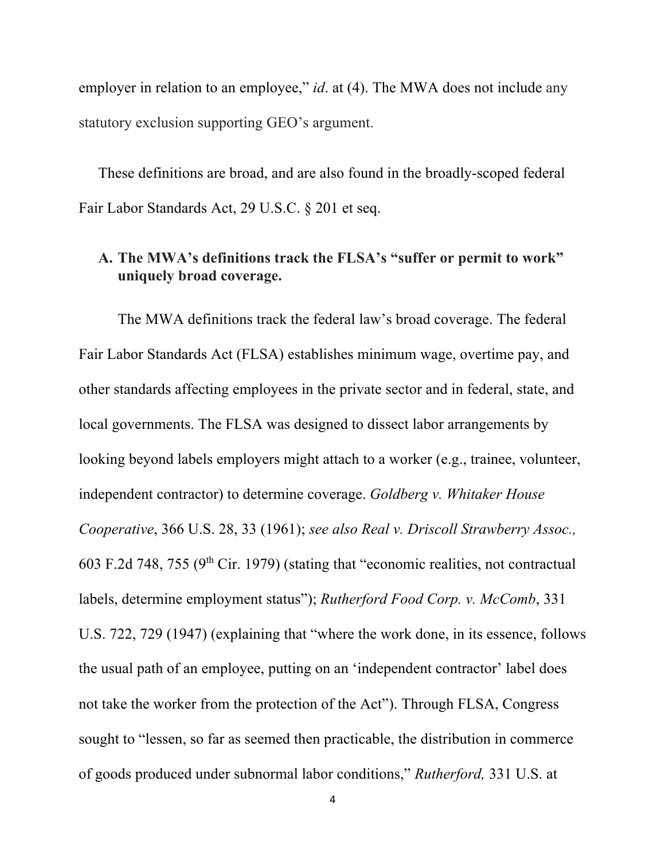employer in relation to an employee," *id*. at (4). The MWA does not include any statutory exclusion supporting GEO's argument.

These definitions are broad, and are also found in the broadly-scoped federal Fair Labor Standards Act, 29 U.S.C. § 201 et seq.

### **A. The MWA's definitions track the FLSA's "suffer or permit to work" uniquely broad coverage.**

The MWA definitions track the federal law's broad coverage. The federal Fair Labor Standards Act (FLSA) establishes minimum wage, overtime pay, and other standards affecting employees in the private sector and in federal, state, and local governments. The FLSA was designed to dissect labor arrangements by looking beyond labels employers might attach to a worker (e.g., trainee, volunteer, independent contractor) to determine coverage. *Goldberg v. Whitaker House Cooperative*, 366 U.S. 28, 33 (1961); *see also Real v. Driscoll Strawberry Assoc.,* 603 F.2d 748, 755 ( $9<sup>th</sup>$  Cir. 1979) (stating that "economic realities, not contractual labels, determine employment status"); *Rutherford Food Corp. v. McComb*, 331 U.S. 722, 729 (1947) (explaining that "where the work done, in its essence, follows the usual path of an employee, putting on an 'independent contractor' label does not take the worker from the protection of the Act"). Through FLSA, Congress sought to "lessen, so far as seemed then practicable, the distribution in commerce of goods produced under subnormal labor conditions," *Rutherford,* 331 U.S. at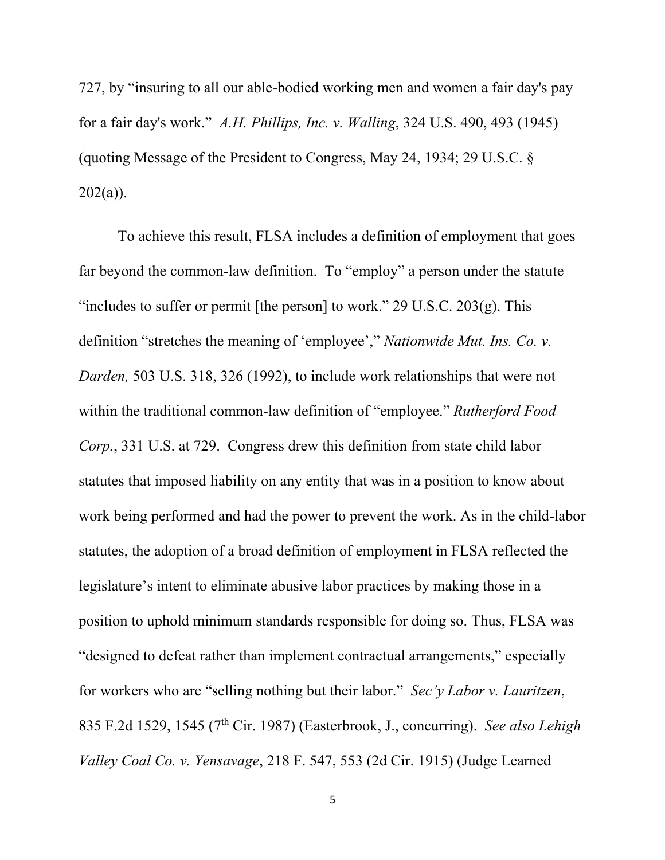727, by "insuring to all our able-bodied working men and women a fair day's pay for a fair day's work." *A.H. Phillips, Inc. v. Walling*, 324 U.S. 490, 493 (1945) (quoting Message of the President to Congress, May 24, 1934; 29 U.S.C. §  $202(a)$ ).

To achieve this result, FLSA includes a definition of employment that goes far beyond the common-law definition. To "employ" a person under the statute "includes to suffer or permit [the person] to work." 29 U.S.C. 203(g). This definition "stretches the meaning of 'employee'," *Nationwide Mut. Ins. Co. v. Darden,* 503 U.S. 318, 326 (1992), to include work relationships that were not within the traditional common-law definition of "employee." *Rutherford Food Corp.*, 331 U.S. at 729. Congress drew this definition from state child labor statutes that imposed liability on any entity that was in a position to know about work being performed and had the power to prevent the work. As in the child-labor statutes, the adoption of a broad definition of employment in FLSA reflected the legislature's intent to eliminate abusive labor practices by making those in a position to uphold minimum standards responsible for doing so. Thus, FLSA was "designed to defeat rather than implement contractual arrangements," especially for workers who are "selling nothing but their labor." *Sec'y Labor v. Lauritzen*, 835 F.2d 1529, 1545 (7th Cir. 1987) (Easterbrook, J., concurring). *See also Lehigh Valley Coal Co. v. Yensavage*, 218 F. 547, 553 (2d Cir. 1915) (Judge Learned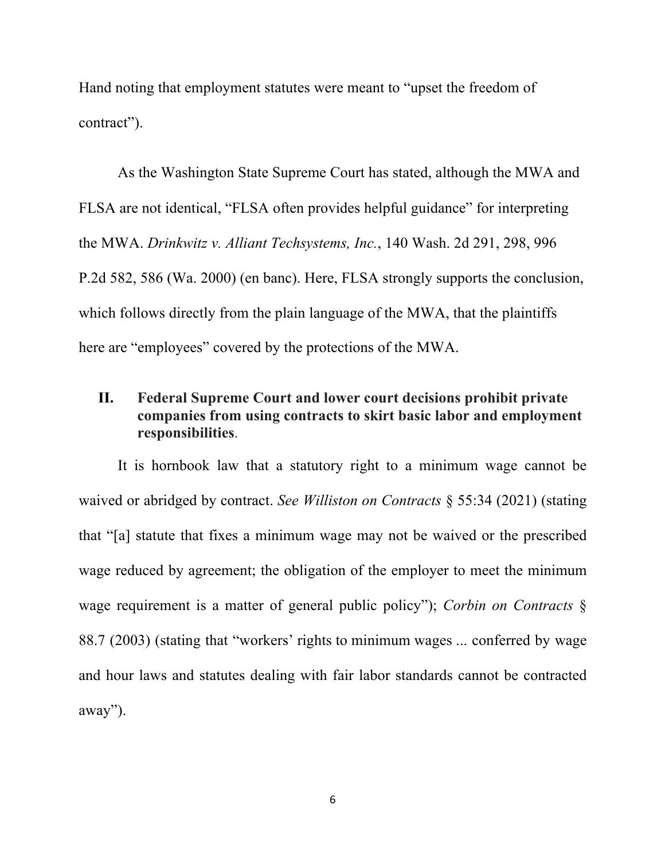Hand noting that employment statutes were meant to "upset the freedom of contract").

As the Washington State Supreme Court has stated, although the MWA and FLSA are not identical, "FLSA often provides helpful guidance" for interpreting the MWA. *Drinkwitz v. Alliant Techsystems, Inc.*, 140 Wash. 2d 291, 298, 996 P.2d 582, 586 (Wa. 2000) (en banc). Here, FLSA strongly supports the conclusion, which follows directly from the plain language of the MWA, that the plaintiffs here are "employees" covered by the protections of the MWA.

## **II. Federal Supreme Court and lower court decisions prohibit private companies from using contracts to skirt basic labor and employment responsibilities**.

It is hornbook law that a statutory right to a minimum wage cannot be waived or abridged by contract. *See Williston on Contracts* § 55:34 (2021) (stating that "[a] statute that fixes a minimum wage may not be waived or the prescribed wage reduced by agreement; the obligation of the employer to meet the minimum wage requirement is a matter of general public policy"); *Corbin on Contracts* § 88.7 (2003) (stating that "workers' rights to minimum wages ... conferred by wage and hour laws and statutes dealing with fair labor standards cannot be contracted away").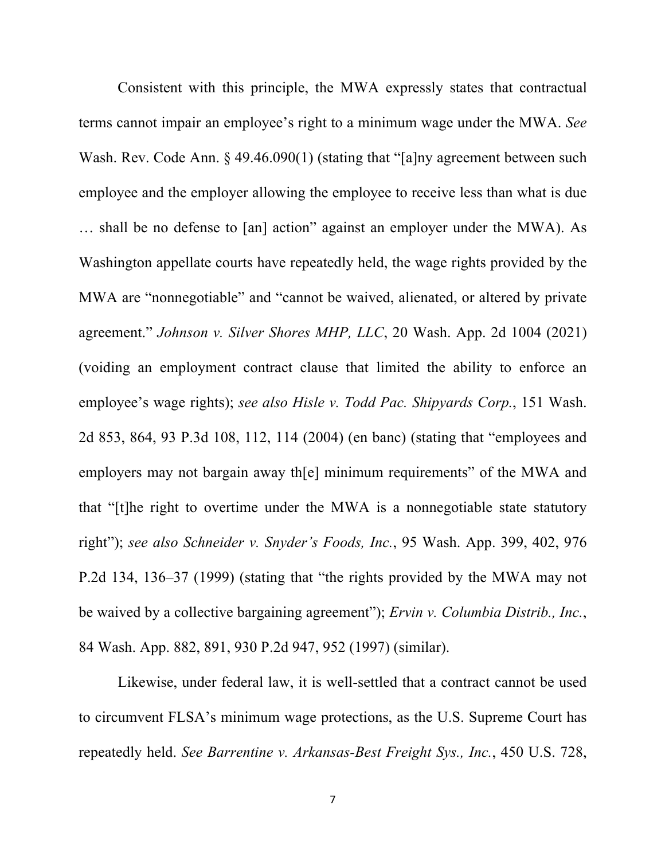Consistent with this principle, the MWA expressly states that contractual terms cannot impair an employee's right to a minimum wage under the MWA. *See*  Wash. Rev. Code Ann. § 49.46.090(1) (stating that "[a]ny agreement between such employee and the employer allowing the employee to receive less than what is due … shall be no defense to [an] action" against an employer under the MWA). As Washington appellate courts have repeatedly held, the wage rights provided by the MWA are "nonnegotiable" and "cannot be waived, alienated, or altered by private agreement." *Johnson v. Silver Shores MHP, LLC*, 20 Wash. App. 2d 1004 (2021) (voiding an employment contract clause that limited the ability to enforce an employee's wage rights); *see also Hisle v. Todd Pac. Shipyards Corp.*, 151 Wash. 2d 853, 864, 93 P.3d 108, 112, 114 (2004) (en banc) (stating that "employees and employers may not bargain away the minimum requirements" of the MWA and that "[t]he right to overtime under the MWA is a nonnegotiable state statutory right"); *see also Schneider v. Snyder's Foods, Inc.*, 95 Wash. App. 399, 402, 976 P.2d 134, 136–37 (1999) (stating that "the rights provided by the MWA may not be waived by a collective bargaining agreement"); *Ervin v. Columbia Distrib., Inc.*, 84 Wash. App. 882, 891, 930 P.2d 947, 952 (1997) (similar).

Likewise, under federal law, it is well-settled that a contract cannot be used to circumvent FLSA's minimum wage protections, as the U.S. Supreme Court has repeatedly held. *See Barrentine v. Arkansas-Best Freight Sys., Inc.*, 450 U.S. 728,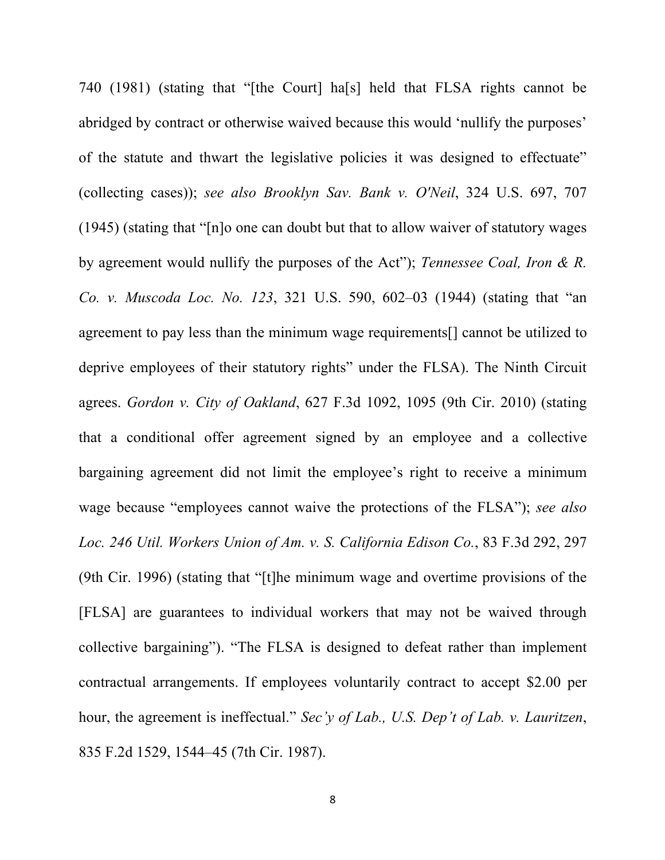740 (1981) (stating that "[the Court] ha[s] held that FLSA rights cannot be abridged by contract or otherwise waived because this would 'nullify the purposes' of the statute and thwart the legislative policies it was designed to effectuate" (collecting cases)); *see also Brooklyn Sav. Bank v. O'Neil*, 324 U.S. 697, 707 (1945) (stating that "[n]o one can doubt but that to allow waiver of statutory wages by agreement would nullify the purposes of the Act"); *Tennessee Coal, Iron & R. Co. v. Muscoda Loc. No. 123*, 321 U.S. 590, 602–03 (1944) (stating that "an agreement to pay less than the minimum wage requirements[] cannot be utilized to deprive employees of their statutory rights" under the FLSA). The Ninth Circuit agrees. *Gordon v. City of Oakland*, 627 F.3d 1092, 1095 (9th Cir. 2010) (stating that a conditional offer agreement signed by an employee and a collective bargaining agreement did not limit the employee's right to receive a minimum wage because "employees cannot waive the protections of the FLSA"); *see also Loc. 246 Util. Workers Union of Am. v. S. California Edison Co.*, 83 F.3d 292, 297 (9th Cir. 1996) (stating that "[t]he minimum wage and overtime provisions of the [FLSA] are guarantees to individual workers that may not be waived through collective bargaining"). "The FLSA is designed to defeat rather than implement contractual arrangements. If employees voluntarily contract to accept \$2.00 per hour, the agreement is ineffectual." *Sec'y of Lab., U.S. Dep't of Lab. v. Lauritzen*, 835 F.2d 1529, 1544–45 (7th Cir. 1987).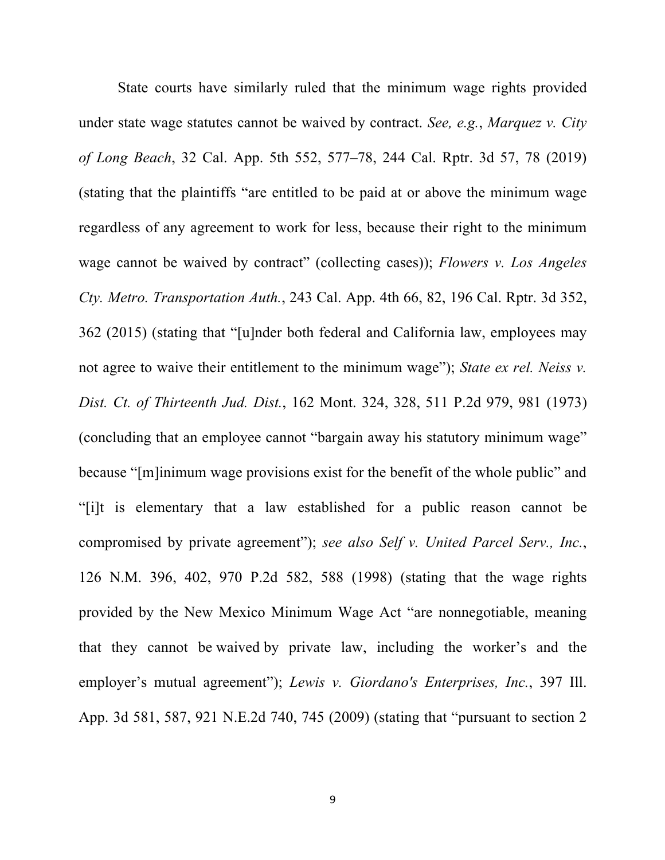State courts have similarly ruled that the minimum wage rights provided under state wage statutes cannot be waived by contract. *See, e.g.*, *Marquez v. City of Long Beach*, 32 Cal. App. 5th 552, 577–78, 244 Cal. Rptr. 3d 57, 78 (2019) (stating that the plaintiffs "are entitled to be paid at or above the minimum wage regardless of any agreement to work for less, because their right to the minimum wage cannot be waived by contract" (collecting cases)); *Flowers v. Los Angeles Cty. Metro. Transportation Auth.*, 243 Cal. App. 4th 66, 82, 196 Cal. Rptr. 3d 352, 362 (2015) (stating that "[u]nder both federal and California law, employees may not agree to waive their entitlement to the minimum wage"); *State ex rel. Neiss v. Dist. Ct. of Thirteenth Jud. Dist.*, 162 Mont. 324, 328, 511 P.2d 979, 981 (1973) (concluding that an employee cannot "bargain away his statutory minimum wage" because "[m]inimum wage provisions exist for the benefit of the whole public" and "[i]t is elementary that a law established for a public reason cannot be compromised by private agreement"); *see also Self v. United Parcel Serv., Inc.*, 126 N.M. 396, 402, 970 P.2d 582, 588 (1998) (stating that the wage rights provided by the New Mexico Minimum Wage Act "are nonnegotiable, meaning that they cannot be waived by private law, including the worker's and the employer's mutual agreement"); *Lewis v. Giordano's Enterprises, Inc.*, 397 Ill. App. 3d 581, 587, 921 N.E.2d 740, 745 (2009) (stating that "pursuant to section 2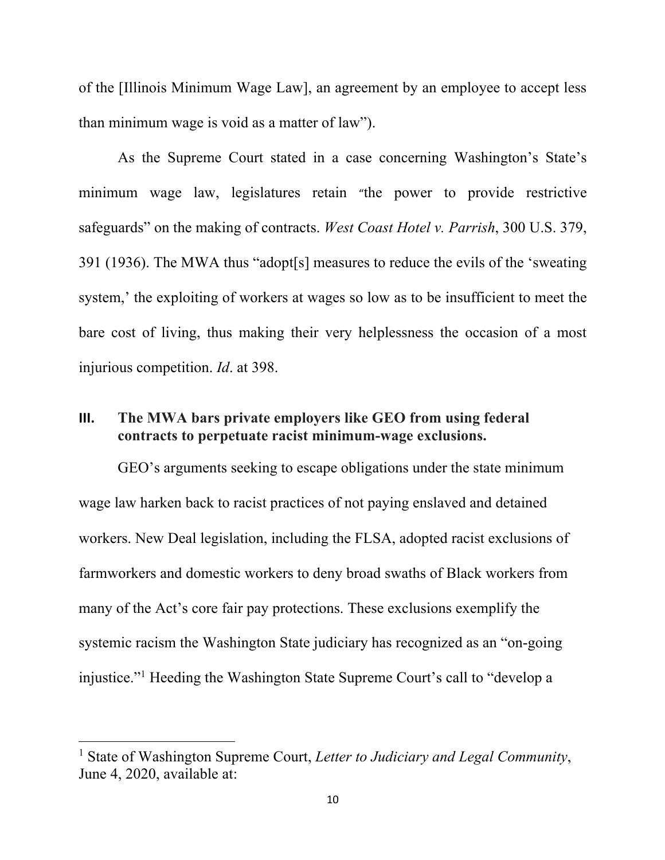of the [Illinois Minimum Wage Law], an agreement by an employee to accept less than minimum wage is void as a matter of law").

As the Supreme Court stated in a case concerning Washington's State's minimum wage law, legislatures retain "the power to provide restrictive safeguards" on the making of contracts. *West Coast Hotel v. Parrish*, 300 U.S. 379, 391 (1936). The MWA thus "adopt[s] measures to reduce the evils of the 'sweating system,' the exploiting of workers at wages so low as to be insufficient to meet the bare cost of living, thus making their very helplessness the occasion of a most injurious competition. *Id*. at 398.

### **III. The MWA bars private employers like GEO from using federal contracts to perpetuate racist minimum-wage exclusions.**

GEO's arguments seeking to escape obligations under the state minimum wage law harken back to racist practices of not paying enslaved and detained workers. New Deal legislation, including the FLSA, adopted racist exclusions of farmworkers and domestic workers to deny broad swaths of Black workers from many of the Act's core fair pay protections. These exclusions exemplify the systemic racism the Washington State judiciary has recognized as an "on-going injustice." <sup>1</sup> Heeding the Washington State Supreme Court's call to "develop a

<sup>1</sup> State of Washington Supreme Court, *Letter to Judiciary and Legal Community*, June 4, 2020, available at: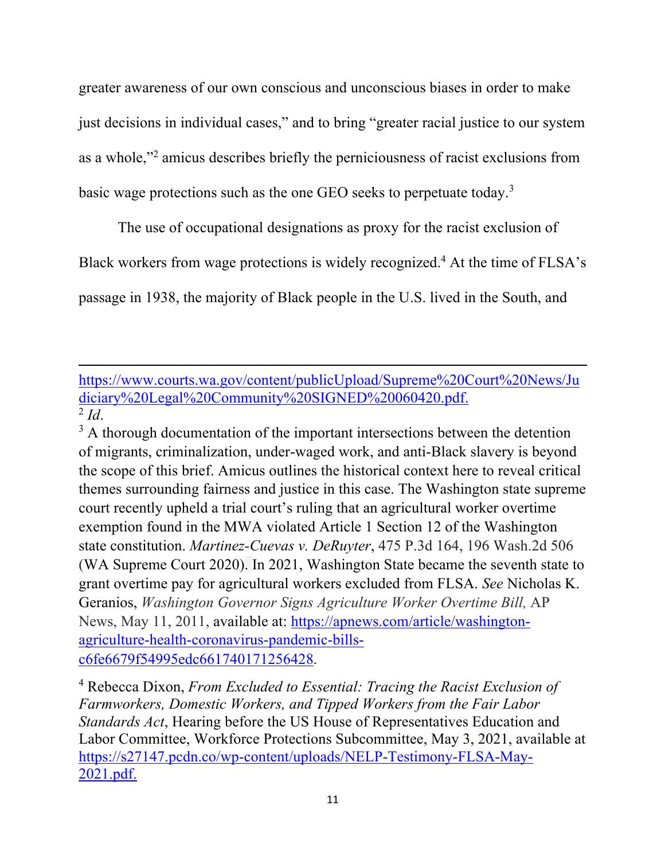greater awareness of our own conscious and unconscious biases in order to make just decisions in individual cases," and to bring "greater racial justice to our system as a whole," 2 amicus describes briefly the perniciousness of racist exclusions from basic wage protections such as the one GEO seeks to perpetuate today.<sup>3</sup>

The use of occupational designations as proxy for the racist exclusion of

Black workers from wage protections is widely recognized.<sup>4</sup> At the time of FLSA's

passage in 1938, the majority of Black people in the U.S. lived in the South, and

## https://www.courts.wa.gov/content/publicUpload/Supreme%20Court%20News/Ju diciary%20Legal%20Community%20SIGNED%20060420.pdf.  $\overline{2}$  *Id.*

 $3 \text{ A}$  thorough documentation of the important intersections between the detention of migrants, criminalization, under-waged work, and anti-Black slavery is beyond the scope of this brief. Amicus outlines the historical context here to reveal critical themes surrounding fairness and justice in this case. The Washington state supreme court recently upheld a trial court's ruling that an agricultural worker overtime exemption found in the MWA violated Article 1 Section 12 of the Washington state constitution. *Martinez-Cuevas v. DeRuyter*, 475 P.3d 164, 196 Wash.2d 506 (WA Supreme Court 2020). In 2021, Washington State became the seventh state to grant overtime pay for agricultural workers excluded from FLSA. *See* Nicholas K. Geranios, *Washington Governor Signs Agriculture Worker Overtime Bill,* AP News, May 11, 2011, available at: https://apnews.com/article/washingtonagriculture-health-coronavirus-pandemic-billsc6fe6679f54995edc661740171256428.

<sup>4</sup> Rebecca Dixon, *From Excluded to Essential: Tracing the Racist Exclusion of Farmworkers, Domestic Workers, and Tipped Workers from the Fair Labor Standards Act*, Hearing before the US House of Representatives Education and Labor Committee, Workforce Protections Subcommittee, May 3, 2021, available at https://s27147.pcdn.co/wp-content/uploads/NELP-Testimony-FLSA-May-2021.pdf.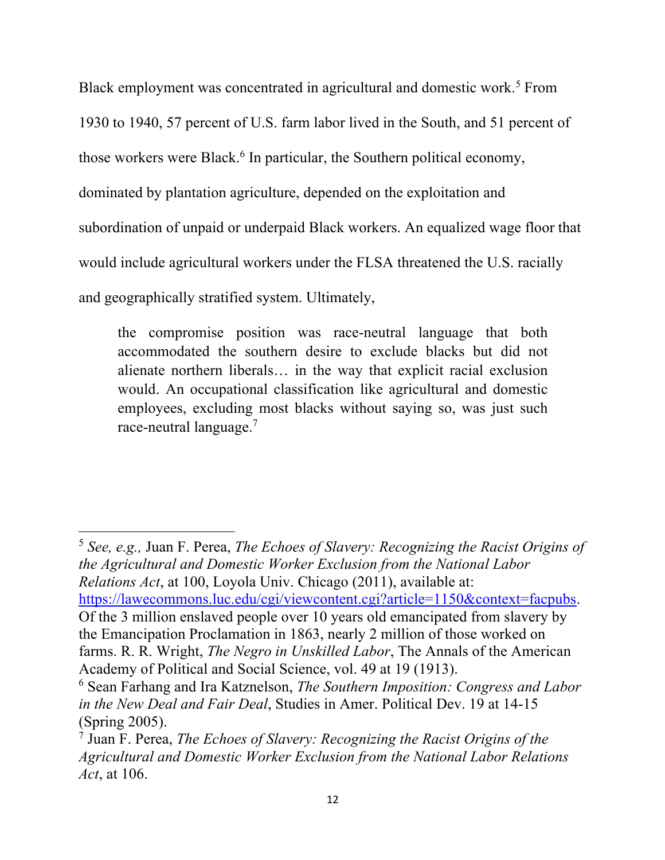Black employment was concentrated in agricultural and domestic work.<sup>5</sup> From 1930 to 1940, 57 percent of U.S. farm labor lived in the South, and 51 percent of those workers were Black.<sup>6</sup> In particular, the Southern political economy, dominated by plantation agriculture, depended on the exploitation and subordination of unpaid or underpaid Black workers. An equalized wage floor that would include agricultural workers under the FLSA threatened the U.S. racially and geographically stratified system. Ultimately,

the compromise position was race-neutral language that both accommodated the southern desire to exclude blacks but did not alienate northern liberals… in the way that explicit racial exclusion would. An occupational classification like agricultural and domestic employees, excluding most blacks without saying so, was just such race-neutral language.<sup>7</sup>

<sup>5</sup> *See, e.g.,* Juan F. Perea, *The Echoes of Slavery: Recognizing the Racist Origins of the Agricultural and Domestic Worker Exclusion from the National Labor Relations Act*, at 100, Loyola Univ. Chicago (2011), available at: https://lawecommons.luc.edu/cgi/viewcontent.cgi?article=1150&context=facpubs. Of the 3 million enslaved people over 10 years old emancipated from slavery by the Emancipation Proclamation in 1863, nearly 2 million of those worked on farms. R. R. Wright, *The Negro in Unskilled Labor*, The Annals of the American Academy of Political and Social Science, vol. 49 at 19 (1913).

<sup>6</sup> Sean Farhang and Ira Katznelson, *The Southern Imposition: Congress and Labor in the New Deal and Fair Deal*, Studies in Amer. Political Dev. 19 at 14-15 (Spring 2005).

<sup>7</sup> Juan F. Perea, *The Echoes of Slavery: Recognizing the Racist Origins of the Agricultural and Domestic Worker Exclusion from the National Labor Relations Act*, at 106.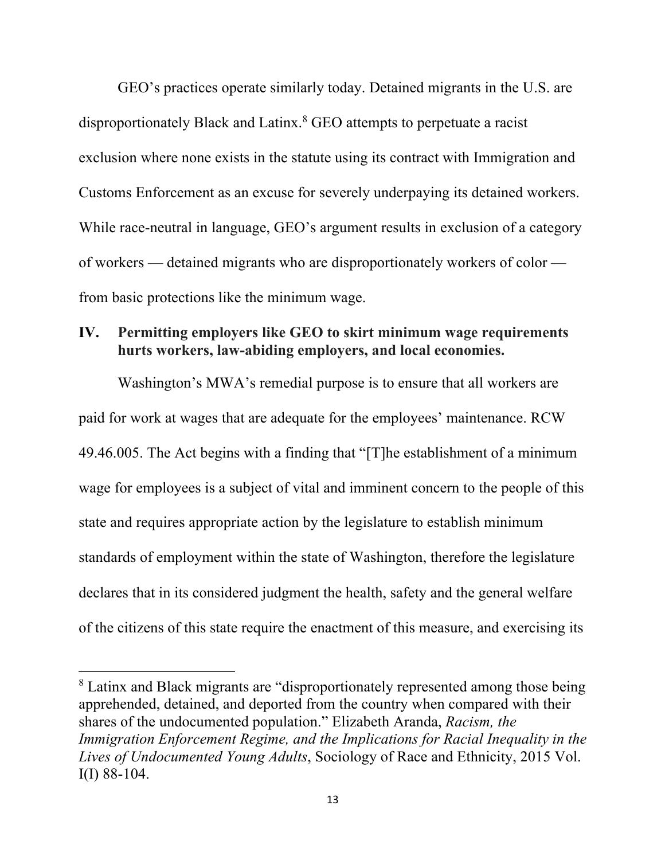GEO's practices operate similarly today. Detained migrants in the U.S. are disproportionately Black and Latinx.<sup>8</sup> GEO attempts to perpetuate a racist exclusion where none exists in the statute using its contract with Immigration and Customs Enforcement as an excuse for severely underpaying its detained workers. While race-neutral in language, GEO's argument results in exclusion of a category of workers — detained migrants who are disproportionately workers of color from basic protections like the minimum wage.

## **IV. Permitting employers like GEO to skirt minimum wage requirements hurts workers, law-abiding employers, and local economies.**

Washington's MWA's remedial purpose is to ensure that all workers are paid for work at wages that are adequate for the employees' maintenance. RCW 49.46.005. The Act begins with a finding that "[T]he establishment of a minimum wage for employees is a subject of vital and imminent concern to the people of this state and requires appropriate action by the legislature to establish minimum standards of employment within the state of Washington, therefore the legislature declares that in its considered judgment the health, safety and the general welfare of the citizens of this state require the enactment of this measure, and exercising its

<sup>&</sup>lt;sup>8</sup> Latinx and Black migrants are "disproportionately represented among those being apprehended, detained, and deported from the country when compared with their shares of the undocumented population." Elizabeth Aranda, *Racism, the Immigration Enforcement Regime, and the Implications for Racial Inequality in the Lives of Undocumented Young Adults*, Sociology of Race and Ethnicity, 2015 Vol. I(I) 88-104.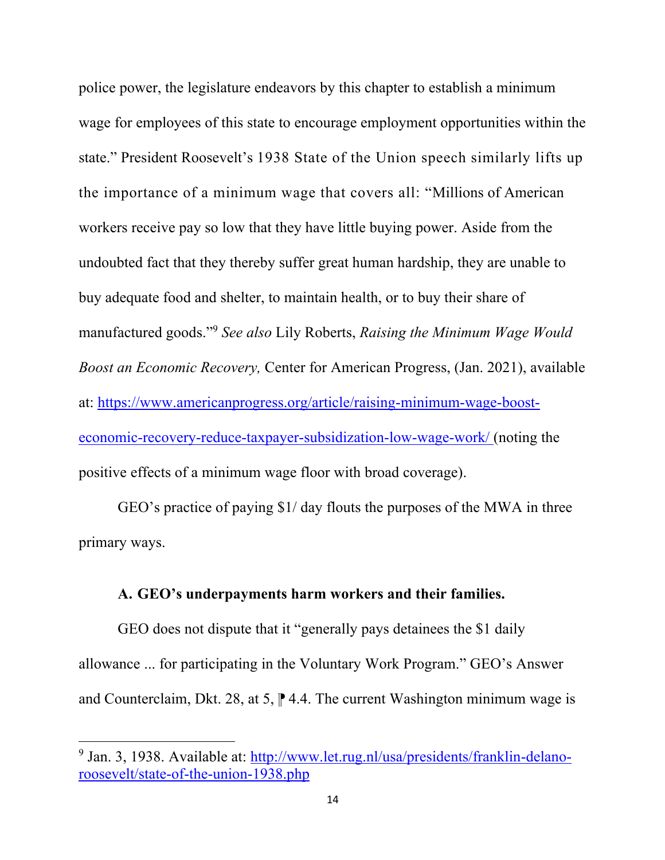police power, the legislature endeavors by this chapter to establish a minimum wage for employees of this state to encourage employment opportunities within the state." President Roosevelt's 1938 State of the Union speech similarly lifts up the importance of a minimum wage that covers all: "Millions of American workers receive pay so low that they have little buying power. Aside from the undoubted fact that they thereby suffer great human hardship, they are unable to buy adequate food and shelter, to maintain health, or to buy their share of manufactured goods."<sup>9</sup> *See also* Lily Roberts, *Raising the Minimum Wage Would Boost an Economic Recovery,* Center for American Progress, (Jan. 2021), available at: https://www.americanprogress.org/article/raising-minimum-wage-boosteconomic-recovery-reduce-taxpayer-subsidization-low-wage-work/ (noting the positive effects of a minimum wage floor with broad coverage).

GEO's practice of paying \$1/ day flouts the purposes of the MWA in three primary ways.

#### **A. GEO's underpayments harm workers and their families.**

GEO does not dispute that it "generally pays detainees the \$1 daily allowance ... for participating in the Voluntary Work Program." GEO's Answer and Counterclaim, Dkt. 28, at 5,  $\uparrow$  4.4. The current Washington minimum wage is

<sup>&</sup>lt;sup>9</sup> Jan. 3, 1938. Available at: http://www.let.rug.nl/usa/presidents/franklin-delanoroosevelt/state-of-the-union-1938.php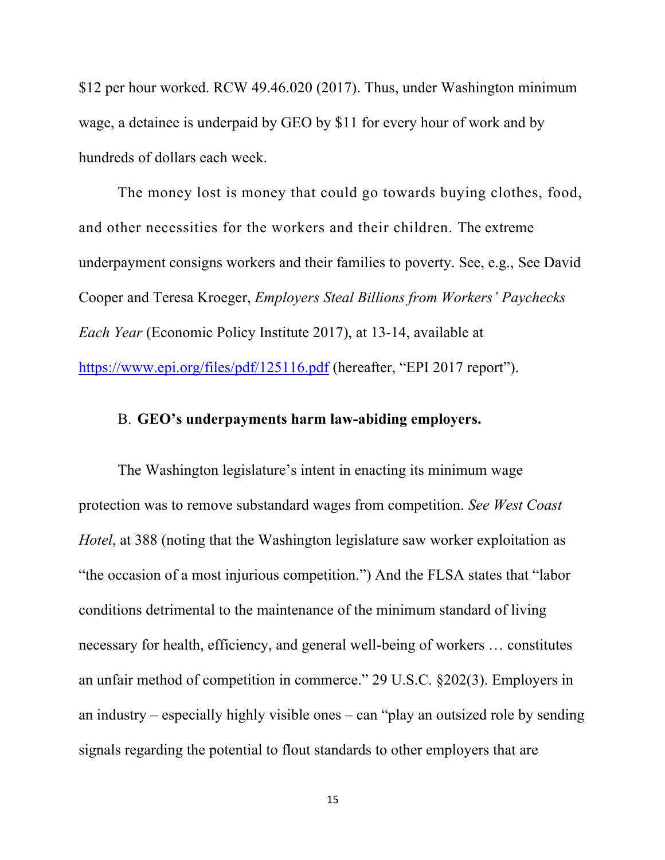\$12 per hour worked. RCW 49.46.020 (2017). Thus, under Washington minimum wage, a detainee is underpaid by GEO by \$11 for every hour of work and by hundreds of dollars each week.

The money lost is money that could go towards buying clothes, food, and other necessities for the workers and their children. The extreme underpayment consigns workers and their families to poverty. See, e.g., See David Cooper and Teresa Kroeger, *Employers Steal Billions from Workers' Paychecks Each Year* (Economic Policy Institute 2017), at 13-14, available at https://www.epi.org/files/pdf/125116.pdf (hereafter, "EPI 2017 report").

#### B. **GEO's underpayments harm law-abiding employers.**

The Washington legislature's intent in enacting its minimum wage protection was to remove substandard wages from competition. *See West Coast Hotel*, at 388 (noting that the Washington legislature saw worker exploitation as "the occasion of a most injurious competition.") And the FLSA states that "labor conditions detrimental to the maintenance of the minimum standard of living necessary for health, efficiency, and general well-being of workers … constitutes an unfair method of competition in commerce." 29 U.S.C. §202(3). Employers in an industry – especially highly visible ones – can "play an outsized role by sending signals regarding the potential to flout standards to other employers that are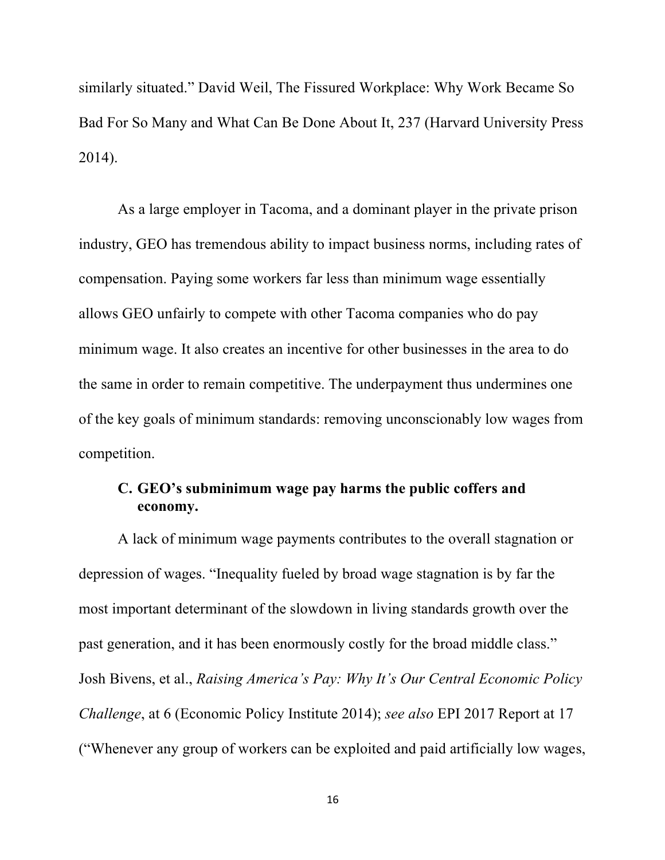similarly situated." David Weil, The Fissured Workplace: Why Work Became So Bad For So Many and What Can Be Done About It, 237 (Harvard University Press 2014).

As a large employer in Tacoma, and a dominant player in the private prison industry, GEO has tremendous ability to impact business norms, including rates of compensation. Paying some workers far less than minimum wage essentially allows GEO unfairly to compete with other Tacoma companies who do pay minimum wage. It also creates an incentive for other businesses in the area to do the same in order to remain competitive. The underpayment thus undermines one of the key goals of minimum standards: removing unconscionably low wages from competition.

### **C. GEO's subminimum wage pay harms the public coffers and economy.**

A lack of minimum wage payments contributes to the overall stagnation or depression of wages. "Inequality fueled by broad wage stagnation is by far the most important determinant of the slowdown in living standards growth over the past generation, and it has been enormously costly for the broad middle class." Josh Bivens, et al., *Raising America's Pay: Why It's Our Central Economic Policy Challenge*, at 6 (Economic Policy Institute 2014); *see also* EPI 2017 Report at 17 ("Whenever any group of workers can be exploited and paid artificially low wages,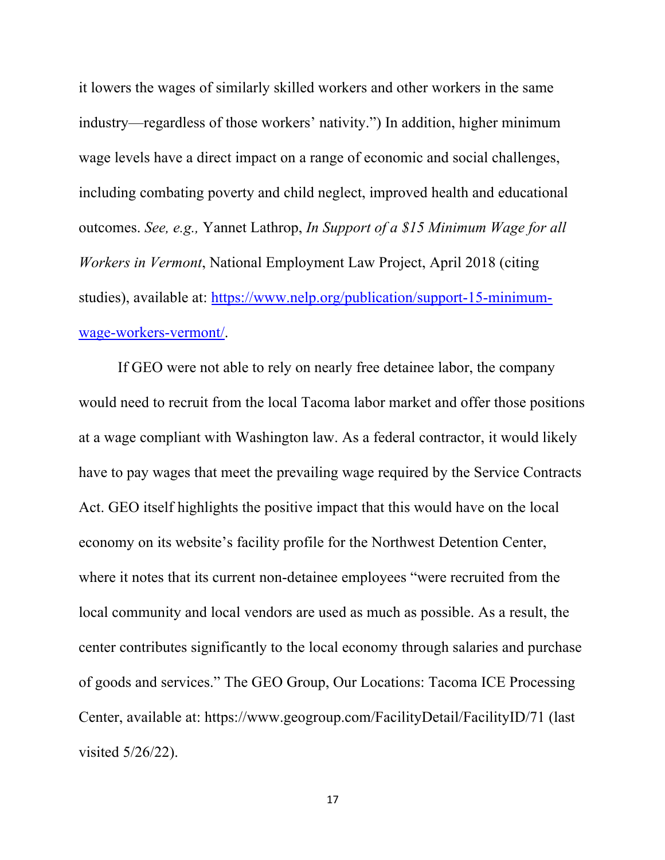it lowers the wages of similarly skilled workers and other workers in the same industry—regardless of those workers' nativity.") In addition, higher minimum wage levels have a direct impact on a range of economic and social challenges, including combating poverty and child neglect, improved health and educational outcomes. *See, e.g.,* Yannet Lathrop, *In Support of a \$15 Minimum Wage for all Workers in Vermont*, National Employment Law Project, April 2018 (citing studies), available at: https://www.nelp.org/publication/support-15-minimumwage-workers-vermont/.

If GEO were not able to rely on nearly free detainee labor, the company would need to recruit from the local Tacoma labor market and offer those positions at a wage compliant with Washington law. As a federal contractor, it would likely have to pay wages that meet the prevailing wage required by the Service Contracts Act. GEO itself highlights the positive impact that this would have on the local economy on its website's facility profile for the Northwest Detention Center, where it notes that its current non-detainee employees "were recruited from the local community and local vendors are used as much as possible. As a result, the center contributes significantly to the local economy through salaries and purchase of goods and services." The GEO Group, Our Locations: Tacoma ICE Processing Center, available at: https://www.geogroup.com/FacilityDetail/FacilityID/71 (last visited 5/26/22).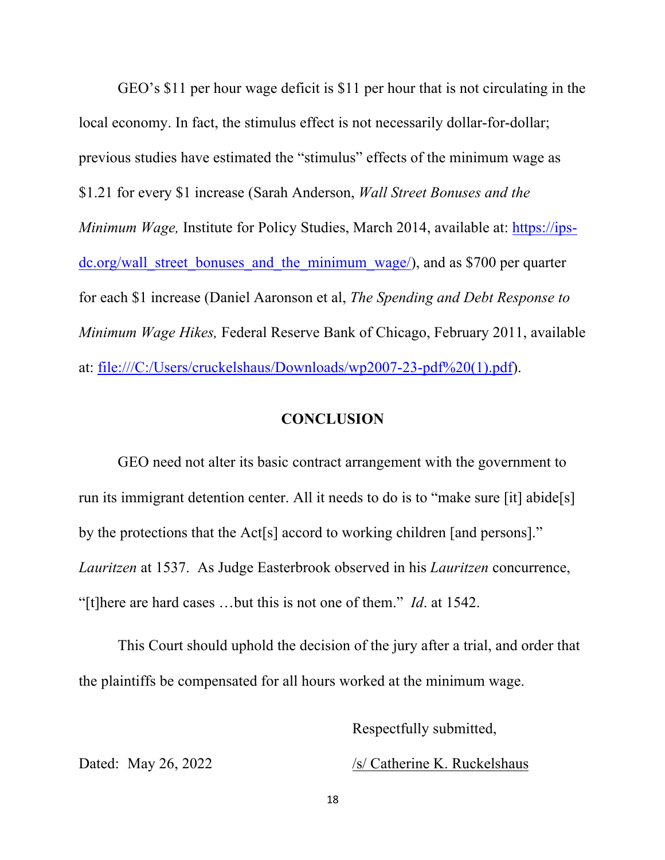GEO's \$11 per hour wage deficit is \$11 per hour that is not circulating in the local economy. In fact, the stimulus effect is not necessarily dollar-for-dollar; previous studies have estimated the "stimulus" effects of the minimum wage as \$1.21 for every \$1 increase (Sarah Anderson, *Wall Street Bonuses and the Minimum Wage, Institute for Policy Studies, March 2014, available at: https://ips*dc.org/wall street bonuses and the minimum wage/), and as \$700 per quarter for each \$1 increase (Daniel Aaronson et al, *The Spending and Debt Response to Minimum Wage Hikes,* Federal Reserve Bank of Chicago, February 2011, available at: file:///C:/Users/cruckelshaus/Downloads/wp2007-23-pdf%20(1).pdf).

#### **CONCLUSION**

GEO need not alter its basic contract arrangement with the government to run its immigrant detention center. All it needs to do is to "make sure [it] abide[s] by the protections that the Act[s] accord to working children [and persons]." *Lauritzen* at 1537. As Judge Easterbrook observed in his *Lauritzen* concurrence, "[t]here are hard cases …but this is not one of them." *Id*. at 1542.

This Court should uphold the decision of the jury after a trial, and order that the plaintiffs be compensated for all hours worked at the minimum wage.

Respectfully submitted,

Dated: May 26, 2022 /s/ Catherine K. Ruckelshaus